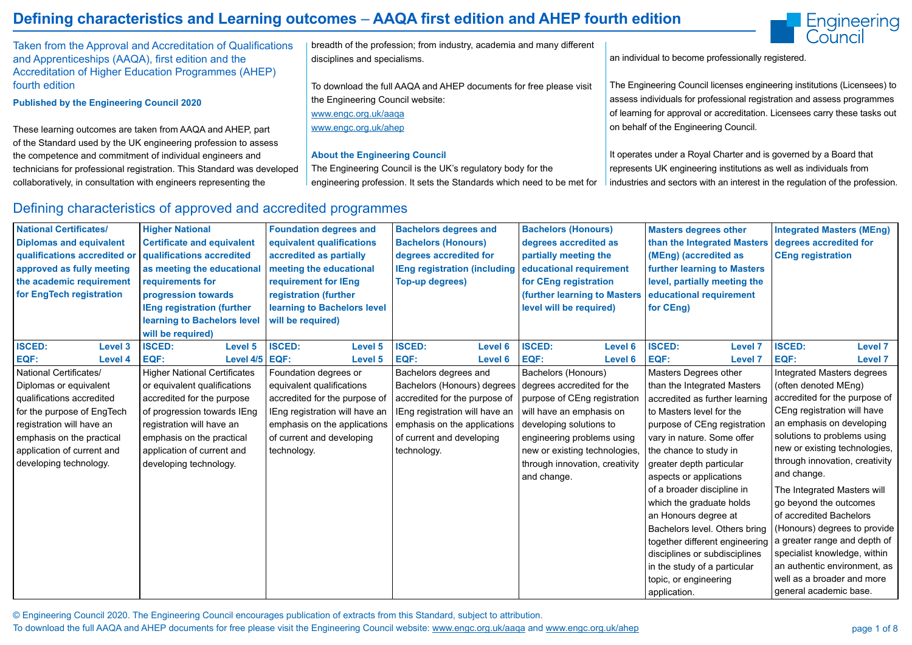© Engineering Council 2020. The Engineering Council encourages publication of extracts from this Standard, subject to attribution. To download the full AAQA and AHEP documents for free please visit the Engineering Council website: www.engc.org.uk/aaqa and www.engc.org.uk/ahep



# **Defining characteristics and Learning outcomes** – **AAQA first edition and AHEP fourth edition**

Taken from the Approval and Accreditation of Qualifications and Apprenticeships (AAQA), first edition and the Accreditation of Higher Education Programmes (AHEP) fourth edition

**Published by the Engineering Council 2020**

These learning outcomes are taken from AAQA and AHEP, part of the Standard used by the UK engineering profession to assess the competence and commitment of individual engineers and technicians for professional registration. This Standard was developed collaboratively, in consultation with engineers representing the

breadth of the profession; from industry, academia and many different disciplines and specialisms.

To download the full AAQA and AHEP documents for free please visit the Engineering Council website: www.engc.org.uk/aaqa

www.engc.org.uk/ahep

#### **About the Engineering Council**

The Engineering Council is the UK's regulatory body for the engineering profession. It sets the Standards which need to be met for

an individual to become professionally registered.

The Engineering Council licenses engineering institutions (Licensees) to assess individuals for professional registration and assess programmes of learning for approval or accreditation. Licensees carry these tasks out on behalf of the Engineering Council.

It operates under a Royal Charter and is governed by a Board that represents UK engineering institutions as well as individuals from industries and sectors with an interest in the regulation of the profession.

### Defining characteristics of approved and accredited programmes

| <b>National Certificates/</b>   | <b>Higher National</b>              | <b>Foundation degrees and</b>  |                | <b>Bachelors degrees and</b>        |                | <b>Bachelors (Honours)</b>     |                | <b>Masters degrees other</b>                                  |                | <b>Integrated Masters (MEng)</b>  |                |
|---------------------------------|-------------------------------------|--------------------------------|----------------|-------------------------------------|----------------|--------------------------------|----------------|---------------------------------------------------------------|----------------|-----------------------------------|----------------|
| <b>Diplomas and equivalent</b>  | <b>Certificate and equivalent</b>   | equivalent qualifications      |                | <b>Bachelors (Honours)</b>          |                | degrees accredited as          |                | than the Integrated Masters                                   |                | degrees accredited for            |                |
| qualifications accredited or    | qualifications accredited           | accredited as partially        |                | degrees accredited for              |                | partially meeting the          |                | (MEng) (accredited as                                         |                | <b>CEng registration</b>          |                |
| approved as fully meeting       | as meeting the educational          | meeting the educational        |                | <b>IEng registration (including</b> |                | educational requirement        |                | <b>further learning to Masters</b>                            |                |                                   |                |
| the academic requirement        | requirements for                    | requirement for IEng           |                | <b>Top-up degrees)</b>              |                | for CEng registration          |                | level, partially meeting the                                  |                |                                   |                |
| for EngTech registration        | progression towards                 | registration (further          |                |                                     |                | (further learning to Masters   |                | educational requirement                                       |                |                                   |                |
|                                 | <b>IEng registration (further</b>   | learning to Bachelors level    |                |                                     |                | level will be required)        |                | for CEng)                                                     |                |                                   |                |
|                                 | learning to Bachelors level         | will be required)              |                |                                     |                |                                |                |                                                               |                |                                   |                |
|                                 | will be required)                   |                                |                |                                     |                |                                |                |                                                               |                |                                   |                |
| <b>ISCED:</b><br><b>Level 3</b> | <b>ISCED:</b><br><b>Level 5</b>     | <b>ISCED:</b>                  | <b>Level 5</b> | <b>ISCED:</b>                       | <b>Level 6</b> | <b>ISCED:</b>                  | <b>Level 6</b> | <b>ISCED:</b>                                                 | <b>Level 7</b> | <b>ISCED:</b>                     | <b>Level 7</b> |
| EQF:<br><b>Level 4</b>          | EQF:<br>Level 4/5                   | EQF:                           | <b>Level 5</b> | EQF:                                | <b>Level 6</b> | EQF:                           | <b>Level 6</b> | EQF:                                                          | <b>Level 7</b> | EQF:                              | <b>Level 7</b> |
| <b>National Certificates/</b>   | <b>Higher National Certificates</b> | Foundation degrees or          |                | Bachelors degrees and               |                | <b>Bachelors (Honours)</b>     |                | <b>Masters Degrees other</b>                                  |                | <b>Integrated Masters degrees</b> |                |
| Diplomas or equivalent          | or equivalent qualifications        | equivalent qualifications      |                | Bachelors (Honours) degrees         |                | degrees accredited for the     |                | than the Integrated Masters                                   |                | (often denoted MEng)              |                |
| qualifications accredited       | accredited for the purpose          | accredited for the purpose of  |                | accredited for the purpose of       |                | purpose of CEng registration   |                | accredited as further learning                                |                | accredited for the purpose of     |                |
| for the purpose of EngTech      | of progression towards IEng         | IEng registration will have an |                | IEng registration will have an      |                | will have an emphasis on       |                | to Masters level for the                                      |                | CEng registration will have       |                |
| registration will have an       | registration will have an           | emphasis on the applications   |                | emphasis on the applications        |                | developing solutions to        |                | purpose of CEng registration                                  |                | an emphasis on developing         |                |
| emphasis on the practical       | emphasis on the practical           | of current and developing      |                | of current and developing           |                | engineering problems using     |                | vary in nature. Some offer                                    |                | solutions to problems using       |                |
| application of current and      | application of current and          | technology.                    |                | technology.                         |                | new or existing technologies,  |                | the chance to study in                                        |                | new or existing technologies,     |                |
| developing technology.          | developing technology.              |                                |                |                                     |                | through innovation, creativity |                | greater depth particular                                      |                | through innovation, creativity    |                |
|                                 |                                     |                                |                |                                     |                | and change.                    |                | aspects or applications                                       |                | and change.                       |                |
|                                 |                                     |                                |                |                                     |                |                                |                | of a broader discipline in                                    |                | The Integrated Masters will       |                |
|                                 |                                     |                                |                |                                     |                |                                |                | which the graduate holds                                      |                | go beyond the outcomes            |                |
|                                 |                                     |                                |                |                                     |                |                                |                | an Honours degree at                                          |                | of accredited Bachelors           |                |
|                                 |                                     |                                |                |                                     |                |                                |                | Bachelors level. Others bring                                 |                | (Honours) degrees to provide      |                |
|                                 |                                     |                                |                |                                     |                |                                |                | together different engineering   a greater range and depth of |                |                                   |                |
|                                 |                                     |                                |                |                                     |                |                                |                | disciplines or subdisciplines                                 |                | specialist knowledge, within      |                |
|                                 |                                     |                                |                |                                     |                |                                |                | in the study of a particular                                  |                | an authentic environment, as      |                |
|                                 |                                     |                                |                |                                     |                |                                |                | topic, or engineering                                         |                | well as a broader and more        |                |
|                                 |                                     |                                |                |                                     |                |                                |                | application.                                                  |                | general academic base.            |                |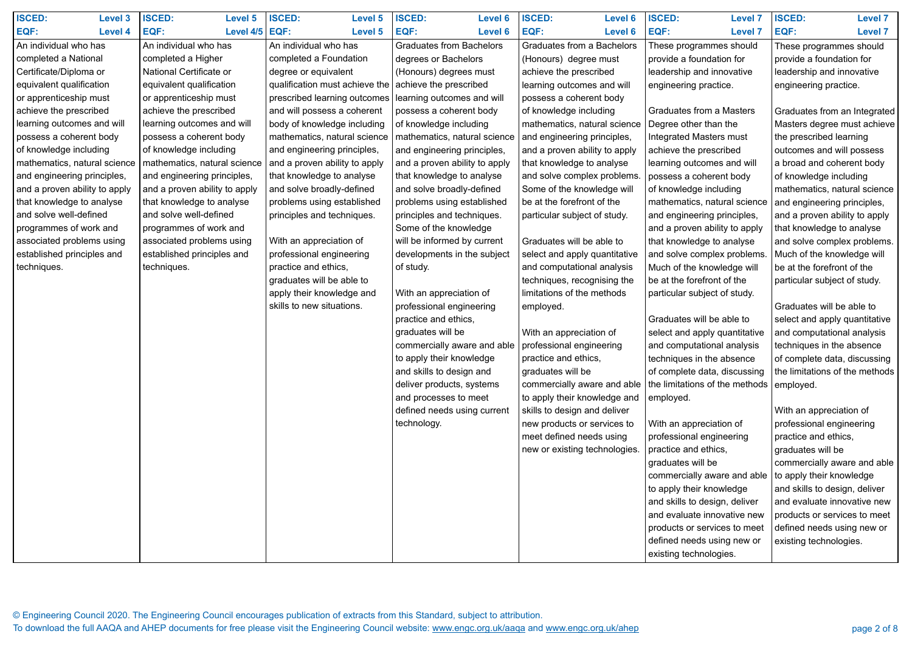| <b>ISCED:</b><br><b>Level 3</b> | <b>ISCED:</b><br><b>Level 5</b> | <b>ISCED:</b><br><b>Level 5</b> | <b>ISCED:</b><br><b>Level 6</b>                        | <b>ISCED:</b><br><b>Level 6</b>   | <b>ISCED:</b><br><b>Level 7</b>            | <b>ISCED:</b><br><b>Level 7</b> |
|---------------------------------|---------------------------------|---------------------------------|--------------------------------------------------------|-----------------------------------|--------------------------------------------|---------------------------------|
| EQF:<br><b>Level 4</b>          | Level $4/5$ EQF:<br><b>EQF:</b> | <b>Level 5</b>                  | EQF:<br><b>Level 6</b>                                 | EQF:<br><b>Level 6</b>            | EQF:<br><b>Level 7</b>                     | EQF:<br><b>Level 7</b>          |
| An individual who has           | An individual who has           | An individual who has           | <b>Graduates from Bachelors</b>                        | <b>Graduates from a Bachelors</b> | These programmes should                    | These programmes should         |
| completed a National            | completed a Higher              | completed a Foundation          | degrees or Bachelors                                   | (Honours) degree must             | provide a foundation for                   | provide a foundation for        |
| Certificate/Diploma or          | National Certificate or         | degree or equivalent            | (Honours) degrees must                                 | achieve the prescribed            | leadership and innovative                  | leadership and innovative       |
| equivalent qualification        | equivalent qualification        | qualification must achieve the  | achieve the prescribed                                 | learning outcomes and will        | engineering practice.                      | engineering practice.           |
| or apprenticeship must          | or apprenticeship must          | prescribed learning outcomes    | learning outcomes and will                             | possess a coherent body           |                                            |                                 |
| achieve the prescribed          | achieve the prescribed          | and will possess a coherent     | possess a coherent body                                | of knowledge including            | <b>Graduates from a Masters</b>            | Graduates from an Integrated    |
| learning outcomes and will      | learning outcomes and will      | body of knowledge including     | of knowledge including                                 | mathematics, natural science      | Degree other than the                      | Masters degree must achieve     |
| possess a coherent body         | possess a coherent body         | mathematics, natural science    | mathematics, natural science                           | and engineering principles,       | <b>Integrated Masters must</b>             | the prescribed learning         |
| of knowledge including          | of knowledge including          | and engineering principles,     | and engineering principles,                            | and a proven ability to apply     | achieve the prescribed                     | outcomes and will possess       |
| mathematics, natural science    | mathematics, natural science    | and a proven ability to apply   | and a proven ability to apply                          | that knowledge to analyse         | learning outcomes and will                 | a broad and coherent body       |
| and engineering principles,     | and engineering principles,     | that knowledge to analyse       | that knowledge to analyse                              | and solve complex problems.       | possess a coherent body                    | of knowledge including          |
| and a proven ability to apply   | and a proven ability to apply   | and solve broadly-defined       | and solve broadly-defined                              | Some of the knowledge will        | of knowledge including                     | mathematics, natural science    |
| that knowledge to analyse       | that knowledge to analyse       | problems using established      | problems using established                             | be at the forefront of the        | mathematics, natural science               | and engineering principles,     |
| and solve well-defined          | and solve well-defined          | principles and techniques.      | principles and techniques.                             | particular subject of study.      | and engineering principles,                | and a proven ability to apply   |
| programmes of work and          | programmes of work and          |                                 | Some of the knowledge                                  |                                   | and a proven ability to apply              | that knowledge to analyse       |
| associated problems using       | associated problems using       | With an appreciation of         | will be informed by current                            | Graduates will be able to         | that knowledge to analyse                  | and solve complex problems.     |
| established principles and      | established principles and      | professional engineering        | developments in the subject                            | select and apply quantitative     | and solve complex problems.                | Much of the knowledge will      |
| techniques.                     | techniques.                     | practice and ethics,            | of study.                                              | and computational analysis        | Much of the knowledge will                 | be at the forefront of the      |
|                                 |                                 | graduates will be able to       |                                                        | techniques, recognising the       | be at the forefront of the                 | particular subject of study.    |
|                                 |                                 | apply their knowledge and       | With an appreciation of                                | limitations of the methods        | particular subject of study.               |                                 |
|                                 |                                 | skills to new situations.       | professional engineering                               | employed.                         |                                            | Graduates will be able to       |
|                                 |                                 |                                 | practice and ethics,                                   |                                   | Graduates will be able to                  | select and apply quantitative   |
|                                 |                                 |                                 | graduates will be                                      | With an appreciation of           | select and apply quantitative              | and computational analysis      |
|                                 |                                 |                                 | commercially aware and able   professional engineering |                                   | and computational analysis                 | techniques in the absence       |
|                                 |                                 |                                 | to apply their knowledge                               | practice and ethics,              | techniques in the absence                  | of complete data, discussing    |
|                                 |                                 |                                 | and skills to design and                               | graduates will be                 | of complete data, discussing               | the limitations of the methods  |
|                                 |                                 |                                 | deliver products, systems                              | commercially aware and able       | the limitations of the methods   employed. |                                 |
|                                 |                                 |                                 | and processes to meet                                  | to apply their knowledge and      | employed.                                  |                                 |
|                                 |                                 |                                 | defined needs using current                            | skills to design and deliver      |                                            | With an appreciation of         |
|                                 |                                 |                                 | technology.                                            | new products or services to       | With an appreciation of                    | professional engineering        |
|                                 |                                 |                                 |                                                        | meet defined needs using          | professional engineering                   | practice and ethics,            |
|                                 |                                 |                                 |                                                        | new or existing technologies.     | practice and ethics,                       | graduates will be               |
|                                 |                                 |                                 |                                                        |                                   | graduates will be                          | commercially aware and able     |
|                                 |                                 |                                 |                                                        |                                   | commercially aware and able                | to apply their knowledge        |
|                                 |                                 |                                 |                                                        |                                   | to apply their knowledge                   | and skills to design, deliver   |
|                                 |                                 |                                 |                                                        |                                   | and skills to design, deliver              | and evaluate innovative new     |
|                                 |                                 |                                 |                                                        |                                   | and evaluate innovative new                | products or services to meet    |
|                                 |                                 |                                 |                                                        |                                   | products or services to meet               | defined needs using new or      |
|                                 |                                 |                                 |                                                        |                                   | defined needs using new or                 | existing technologies.          |
|                                 |                                 |                                 |                                                        |                                   | existing technologies.                     |                                 |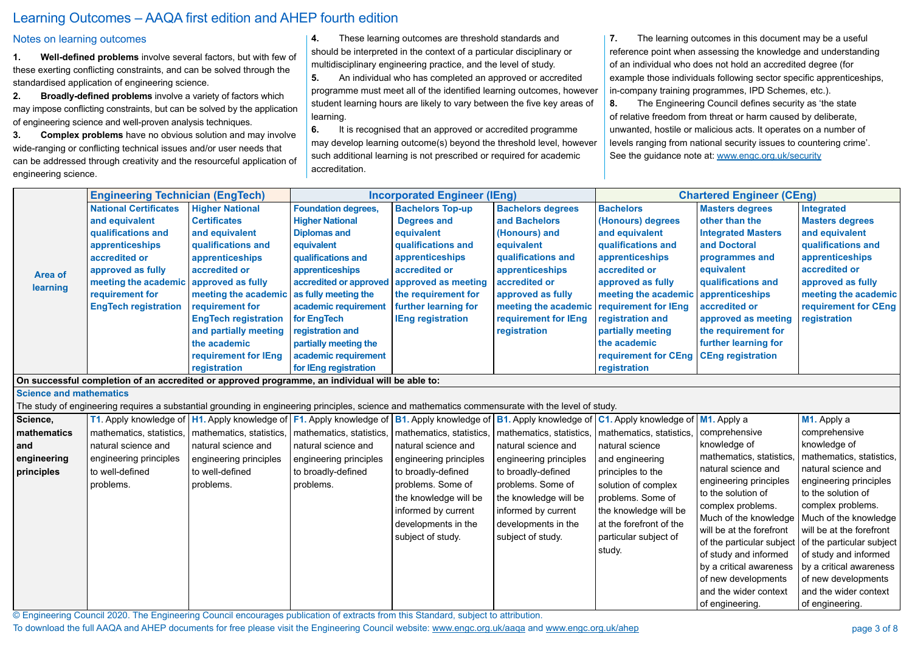© Engineering Council 2020. The Engineering Council encourages publication of extracts from this Standard, subject to attribution.

To download the full AAQA and AHEP documents for free please visit the Engineering Council website: www.engc.org.uk/aaqa and www.engc.org.uk/ahep

## Learning Outcomes – AAQA first edition and AHEP fourth edition

|                                                             | <b>Engineering Technician (EngTech)</b>                                                                                                                                                                 |                                                                                                                                                                                                                                                                                                           |                                                                                                                                                                                                                                                                                                                           | <b>Incorporated Engineer (IEng)</b>                                                                                                                                                                                                                                                                                                                                                     |                                                                                                                                                                                                                                              |                                                                                                                                                                                                                                                                 | <b>Chartered Engineer (CEng)</b>                                                                                                                                                                                                                                                                         |                                                                                                                                                                                                                                                                                                                                                                                                                                       |
|-------------------------------------------------------------|---------------------------------------------------------------------------------------------------------------------------------------------------------------------------------------------------------|-----------------------------------------------------------------------------------------------------------------------------------------------------------------------------------------------------------------------------------------------------------------------------------------------------------|---------------------------------------------------------------------------------------------------------------------------------------------------------------------------------------------------------------------------------------------------------------------------------------------------------------------------|-----------------------------------------------------------------------------------------------------------------------------------------------------------------------------------------------------------------------------------------------------------------------------------------------------------------------------------------------------------------------------------------|----------------------------------------------------------------------------------------------------------------------------------------------------------------------------------------------------------------------------------------------|-----------------------------------------------------------------------------------------------------------------------------------------------------------------------------------------------------------------------------------------------------------------|----------------------------------------------------------------------------------------------------------------------------------------------------------------------------------------------------------------------------------------------------------------------------------------------------------|---------------------------------------------------------------------------------------------------------------------------------------------------------------------------------------------------------------------------------------------------------------------------------------------------------------------------------------------------------------------------------------------------------------------------------------|
| <b>Area of</b><br>learning                                  | <b>National Certificates</b><br>and equivalent<br>qualifications and<br>apprenticeships<br>accredited or<br>approved as fully<br>meeting the academic<br>requirement for<br><b>EngTech registration</b> | <b>Higher National</b><br><b>Certificates</b><br>and equivalent<br>qualifications and<br>apprenticeships<br>accredited or<br>approved as fully<br>meeting the academic<br>requirement for<br><b>EngTech registration</b><br>and partially meeting<br>the academic<br>requirement for IEng<br>registration | <b>Foundation degrees,</b><br><b>Higher National</b><br><b>Diplomas and</b><br>equivalent<br>qualifications and<br>apprenticeships<br>accredited or approved<br>as fully meeting the<br>academic requirement<br>for EngTech<br>registration and<br>partially meeting the<br>academic requirement<br>for IEng registration | <b>Bachelors Top-up</b><br><b>Degrees and</b><br>equivalent<br>qualifications and<br>apprenticeships<br>accredited or<br>approved as meeting<br>the requirement for<br>further learning for<br><b>IEng registration</b>                                                                                                                                                                 | <b>Bachelors degrees</b><br>and Bachelors<br>(Honours) and<br>equivalent<br>qualifications and<br>apprenticeships<br>accredited or<br>approved as fully<br>meeting the academic requirement for IEng<br>requirement for IEng<br>registration | <b>Bachelors</b><br>(Honours) degrees<br>and equivalent<br>qualifications and<br>apprenticeships<br>accredited or<br>approved as fully<br>meeting the academic<br>registration and<br>partially meeting<br>the academic<br>requirement for CEng<br>registration | <b>Masters degrees</b><br>other than the<br><b>Integrated Masters</b><br>and Doctoral<br>programmes and<br>equivalent<br>qualifications and<br>apprenticeships<br>accredited or<br>approved as meeting<br>the requirement for<br>further learning for<br><b>CEng registration</b>                        | Integrated<br><b>Masters degrees</b><br>and equivalent<br>qualifications and<br>apprenticeships<br>accredited or<br>approved as fully<br>meeting the academic<br>requirement for CEng<br>registration                                                                                                                                                                                                                                 |
|                                                             |                                                                                                                                                                                                         | On successful completion of an accredited or approved programme, an individual will be able to:                                                                                                                                                                                                           |                                                                                                                                                                                                                                                                                                                           |                                                                                                                                                                                                                                                                                                                                                                                         |                                                                                                                                                                                                                                              |                                                                                                                                                                                                                                                                 |                                                                                                                                                                                                                                                                                                          |                                                                                                                                                                                                                                                                                                                                                                                                                                       |
| <b>Science and mathematics</b>                              |                                                                                                                                                                                                         |                                                                                                                                                                                                                                                                                                           |                                                                                                                                                                                                                                                                                                                           |                                                                                                                                                                                                                                                                                                                                                                                         |                                                                                                                                                                                                                                              |                                                                                                                                                                                                                                                                 |                                                                                                                                                                                                                                                                                                          |                                                                                                                                                                                                                                                                                                                                                                                                                                       |
|                                                             |                                                                                                                                                                                                         |                                                                                                                                                                                                                                                                                                           |                                                                                                                                                                                                                                                                                                                           | The study of engineering requires a substantial grounding in engineering principles, science and mathematics commensurate with the level of study.                                                                                                                                                                                                                                      |                                                                                                                                                                                                                                              |                                                                                                                                                                                                                                                                 |                                                                                                                                                                                                                                                                                                          |                                                                                                                                                                                                                                                                                                                                                                                                                                       |
| Science,<br>mathematics<br>and<br>engineering<br>principles | natural science and<br>engineering principles<br>to well-defined<br>problems.                                                                                                                           | mathematics, statistics,   mathematics, statistics,   mathematics, statistics,<br>natural science and<br>engineering principles<br>to well-defined<br>problems.                                                                                                                                           | natural science and<br>engineering principles<br>to broadly-defined<br>problems.                                                                                                                                                                                                                                          | T1. Apply knowledge of   H1. Apply knowledge of   F1. Apply knowledge of   B1. Apply knowledge of   B1. Apply knowledge of   C1. Apply knowledge of   M1. Apply a<br>  mathematics, statistics,<br>natural science and<br>engineering principles<br>to broadly-defined<br>problems. Some of<br>the knowledge will be<br>informed by current<br>developments in the<br>subject of study. | mathematics, statistics,   mathematics, statistics,<br>natural science and<br>engineering principles<br>to broadly-defined<br>problems. Some of<br>the knowledge will be<br>informed by current<br>developments in the<br>subject of study.  | natural science<br>and engineering<br>principles to the<br>solution of complex<br>problems. Some of<br>the knowledge will be<br>at the forefront of the<br>particular subject of<br>study.                                                                      | comprehensive<br>knowledge of<br>mathematics, statistics,<br>natural science and<br>engineering principles<br>to the solution of<br>complex problems.<br>will be at the forefront<br>of study and informed<br>by a critical awareness<br>of new developments<br>and the wider context<br>of engineering. | M1. Apply a<br>comprehensive<br>knowledge of<br>mathematics, statistics,<br>natural science and<br>engineering principles<br>to the solution of<br>complex problems.<br>Much of the knowledge   Much of the knowledge  <br>will be at the forefront<br>of the particular subject   of the particular subject  <br>of study and informed<br>by a critical awareness<br>of new developments<br>and the wider context<br>of engineering. |

### Notes on learning outcomes

**1. Well-defined problems** involve several factors, but with few of these exerting conflicting constraints, and can be solved through the standardised application of engineering science.

**2. Broadly-defined problems** involve a variety of factors which may impose conflicting constraints, but can be solved by the application of engineering science and well-proven analysis techniques.

**3. Complex problems** have no obvious solution and may involve wide-ranging or conflicting technical issues and/or user needs that can be addressed through creativity and the resourceful application of engineering science.

**4.** These learning outcomes are threshold standards and should be interpreted in the context of a particular disciplinary or multidisciplinary engineering practice, and the level of study.

**5.** An individual who has completed an approved or accredited programme must meet all of the identified learning outcomes, however student learning hours are likely to vary between the five key areas of learning.

**6.** It is recognised that an approved or accredited programme may develop learning outcome(s) beyond the threshold level, however such additional learning is not prescribed or required for academic accreditation.

**7.** The learning outcomes in this document may be a useful reference point when assessing the knowledge and understanding of an individual who does not hold an accredited degree (for example those individuals following sector specific apprenticeships, in-company training programmes, IPD Schemes, etc.). **8.** The Engineering Council defines security as 'the state of relative freedom from threat or harm caused by deliberate, unwanted, hostile or malicious acts. It operates on a number of levels ranging from national security issues to countering crime'. See the guidance note at: www.engc.org.uk/security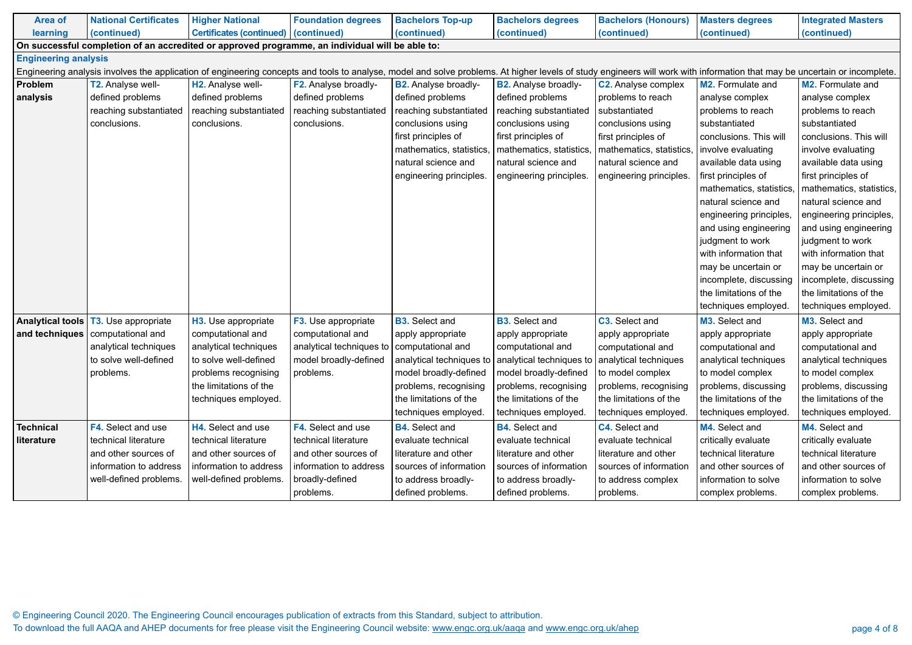| <b>Area of</b>              | <b>National Certificates</b>                                                                                                                                                                                              | <b>Higher National</b>                 | <b>Foundation degrees</b> | <b>Bachelors Top-up</b>     | <b>Bachelors degrees</b>                         | <b>Bachelors (Honours)</b> | <b>Masters degrees</b>   | <b>Integrated Masters</b> |  |  |  |  |  |
|-----------------------------|---------------------------------------------------------------------------------------------------------------------------------------------------------------------------------------------------------------------------|----------------------------------------|---------------------------|-----------------------------|--------------------------------------------------|----------------------------|--------------------------|---------------------------|--|--|--|--|--|
| learning                    | (continued)                                                                                                                                                                                                               | Certificates (continued)   (continued) |                           | (continued)                 | (continued)                                      | (continued)                | (continued)              | (continued)               |  |  |  |  |  |
|                             | On successful completion of an accredited or approved programme, an individual will be able to:                                                                                                                           |                                        |                           |                             |                                                  |                            |                          |                           |  |  |  |  |  |
| <b>Engineering analysis</b> |                                                                                                                                                                                                                           |                                        |                           |                             |                                                  |                            |                          |                           |  |  |  |  |  |
|                             | Engineering analysis involves the application of engineering concepts and tools to analyse, model and solve problems. At higher levels of study engineers will work with information that may be uncertain or incomplete. |                                        |                           |                             |                                                  |                            |                          |                           |  |  |  |  |  |
| <b>Problem</b>              | <b>T2. Analyse well-</b>                                                                                                                                                                                                  | H2. Analyse well-                      | F2. Analyse broadly-      | <b>B2.</b> Analyse broadly- | <b>B2.</b> Analyse broadly-                      | <b>C2.</b> Analyse complex | M2. Formulate and        | <b>M2.</b> Formulate and  |  |  |  |  |  |
| analysis                    | defined problems                                                                                                                                                                                                          | defined problems                       | defined problems          | defined problems            | defined problems                                 | problems to reach          | analyse complex          | analyse complex           |  |  |  |  |  |
|                             | reaching substantiated                                                                                                                                                                                                    | reaching substantiated                 | reaching substantiated    | reaching substantiated      | reaching substantiated                           | substantiated              | problems to reach        | problems to reach         |  |  |  |  |  |
|                             | conclusions.                                                                                                                                                                                                              | conclusions.                           | conclusions.              | conclusions using           | conclusions using                                | conclusions using          | substantiated            | substantiated             |  |  |  |  |  |
|                             |                                                                                                                                                                                                                           |                                        |                           | first principles of         | first principles of                              | first principles of        | conclusions. This will   | conclusions. This will    |  |  |  |  |  |
|                             |                                                                                                                                                                                                                           |                                        |                           | mathematics, statistics     | mathematics, statistics,                         | mathematics, statistics    | involve evaluating       | involve evaluating        |  |  |  |  |  |
|                             |                                                                                                                                                                                                                           |                                        |                           | natural science and         | natural science and                              | natural science and        | available data using     | available data using      |  |  |  |  |  |
|                             |                                                                                                                                                                                                                           |                                        |                           | engineering principles.     | engineering principles.                          | engineering principles.    | first principles of      | first principles of       |  |  |  |  |  |
|                             |                                                                                                                                                                                                                           |                                        |                           |                             |                                                  |                            | mathematics, statistics, | mathematics, statistics,  |  |  |  |  |  |
|                             |                                                                                                                                                                                                                           |                                        |                           |                             |                                                  |                            | natural science and      | natural science and       |  |  |  |  |  |
|                             |                                                                                                                                                                                                                           |                                        |                           |                             |                                                  |                            | engineering principles,  | engineering principles,   |  |  |  |  |  |
|                             |                                                                                                                                                                                                                           |                                        |                           |                             |                                                  |                            | and using engineering    | and using engineering     |  |  |  |  |  |
|                             |                                                                                                                                                                                                                           |                                        |                           |                             |                                                  |                            | judgment to work         | judgment to work          |  |  |  |  |  |
|                             |                                                                                                                                                                                                                           |                                        |                           |                             |                                                  |                            | with information that    | with information that     |  |  |  |  |  |
|                             |                                                                                                                                                                                                                           |                                        |                           |                             |                                                  |                            | may be uncertain or      | may be uncertain or       |  |  |  |  |  |
|                             |                                                                                                                                                                                                                           |                                        |                           |                             |                                                  |                            | incomplete, discussing   | incomplete, discussing    |  |  |  |  |  |
|                             |                                                                                                                                                                                                                           |                                        |                           |                             |                                                  |                            | the limitations of the   | the limitations of the    |  |  |  |  |  |
|                             |                                                                                                                                                                                                                           |                                        |                           |                             |                                                  |                            | techniques employed.     | techniques employed.      |  |  |  |  |  |
| <b>Analytical tools</b>     | <b>T3.</b> Use appropriate                                                                                                                                                                                                | H3. Use appropriate                    | F3. Use appropriate       | <b>B3.</b> Select and       | <b>B3.</b> Select and                            | C3. Select and             | M3. Select and           | M3. Select and            |  |  |  |  |  |
| and techniques              | computational and                                                                                                                                                                                                         | computational and                      | computational and         | apply appropriate           | apply appropriate                                | apply appropriate          | apply appropriate        | apply appropriate         |  |  |  |  |  |
|                             | analytical techniques                                                                                                                                                                                                     | analytical techniques                  | analytical techniques to  | computational and           | computational and                                | computational and          | computational and        | computational and         |  |  |  |  |  |
|                             | to solve well-defined                                                                                                                                                                                                     | to solve well-defined                  | model broadly-defined     | analytical techniques to    | analytical techniques to   analytical techniques |                            | analytical techniques    | analytical techniques     |  |  |  |  |  |
|                             | problems.                                                                                                                                                                                                                 | problems recognising                   | problems.                 | model broadly-defined       | model broadly-defined                            | to model complex           | to model complex         | to model complex          |  |  |  |  |  |
|                             |                                                                                                                                                                                                                           | the limitations of the                 |                           | problems, recognising       | problems, recognising                            | problems, recognising      | problems, discussing     | problems, discussing      |  |  |  |  |  |
|                             |                                                                                                                                                                                                                           | techniques employed.                   |                           | the limitations of the      | the limitations of the                           | the limitations of the     | the limitations of the   | the limitations of the    |  |  |  |  |  |
|                             |                                                                                                                                                                                                                           |                                        |                           | techniques employed.        | techniques employed.                             | techniques employed.       | techniques employed.     | techniques employed.      |  |  |  |  |  |
| <b>Technical</b>            | <b>F4.</b> Select and use                                                                                                                                                                                                 | H4. Select and use                     | <b>F4.</b> Select and use | <b>B4.</b> Select and       | <b>B4.</b> Select and                            | C4. Select and             | M4. Select and           | M4. Select and            |  |  |  |  |  |
| literature                  | technical literature                                                                                                                                                                                                      | technical literature                   | technical literature      | evaluate technical          | evaluate technical                               | evaluate technical         | critically evaluate      | critically evaluate       |  |  |  |  |  |
|                             | and other sources of                                                                                                                                                                                                      | and other sources of                   | and other sources of      | literature and other        | literature and other                             | literature and other       | technical literature     | technical literature      |  |  |  |  |  |
|                             | information to address                                                                                                                                                                                                    | information to address                 | information to address    | sources of information      | sources of information                           | sources of information     | and other sources of     | and other sources of      |  |  |  |  |  |
|                             | well-defined problems.                                                                                                                                                                                                    | well-defined problems.                 | broadly-defined           | to address broadly-         | to address broadly-                              | to address complex         | information to solve     | information to solve      |  |  |  |  |  |
|                             |                                                                                                                                                                                                                           |                                        | problems.                 | defined problems.           | defined problems.                                | problems.                  | complex problems.        | complex problems.         |  |  |  |  |  |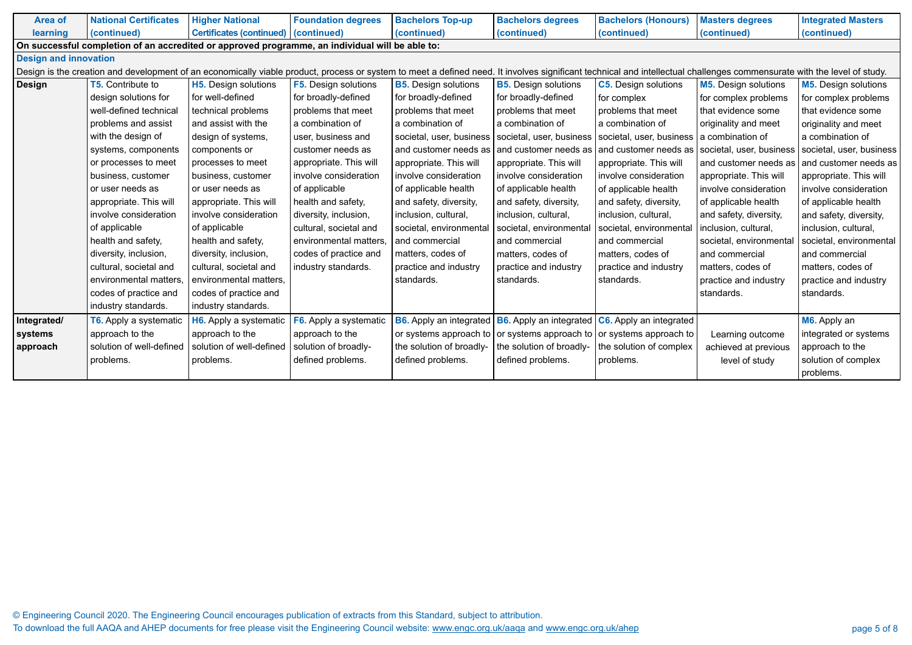| <b>Area of</b> | <b>National Certificates</b>                                                                                                                                                                                            | <b>Higher National</b>                 | <b>Foundation degrees</b>   | <b>Bachelors Top-up</b>        | <b>Bachelors degrees</b>                                                             | <b>Bachelors (Honours)</b>                      | <b>Masters degrees</b>      | <b>Integrated Masters</b>   |  |  |  |  |  |
|----------------|-------------------------------------------------------------------------------------------------------------------------------------------------------------------------------------------------------------------------|----------------------------------------|-----------------------------|--------------------------------|--------------------------------------------------------------------------------------|-------------------------------------------------|-----------------------------|-----------------------------|--|--|--|--|--|
| learning       | (continued)                                                                                                                                                                                                             | Certificates (continued)   (continued) |                             | (continued)                    | (continued)                                                                          | (continued)                                     | (continued)                 | (continued)                 |  |  |  |  |  |
|                | On successful completion of an accredited or approved programme, an individual will be able to:                                                                                                                         |                                        |                             |                                |                                                                                      |                                                 |                             |                             |  |  |  |  |  |
|                | <b>Design and innovation</b>                                                                                                                                                                                            |                                        |                             |                                |                                                                                      |                                                 |                             |                             |  |  |  |  |  |
|                | Design is the creation and development of an economically viable product, process or system to meet a defined need. It involves significant technical and intellectual challenges commensurate with the level of study. |                                        |                             |                                |                                                                                      |                                                 |                             |                             |  |  |  |  |  |
| <b>Design</b>  | <b>T5.</b> Contribute to                                                                                                                                                                                                | <b>H5.</b> Design solutions            | <b>F5.</b> Design solutions | <b>B5.</b> Design solutions    | <b>B5.</b> Design solutions                                                          | <b>C5.</b> Design solutions                     | <b>M5.</b> Design solutions | <b>M5.</b> Design solutions |  |  |  |  |  |
|                | design solutions for                                                                                                                                                                                                    | for well-defined                       | for broadly-defined         | for broadly-defined            | for broadly-defined                                                                  | for complex                                     | for complex problems        | for complex problems        |  |  |  |  |  |
|                | well-defined technical                                                                                                                                                                                                  | technical problems                     | problems that meet          | problems that meet             | problems that meet                                                                   | problems that meet                              | that evidence some          | that evidence some          |  |  |  |  |  |
|                | problems and assist                                                                                                                                                                                                     | and assist with the                    | a combination of            | a combination of               | a combination of                                                                     | a combination of                                | originality and meet        | originality and meet        |  |  |  |  |  |
|                | with the design of                                                                                                                                                                                                      | design of systems,                     | user, business and          | societal, user, business       | societal, user, business                                                             | societal, user, business   a combination of     |                             | a combination of            |  |  |  |  |  |
|                | systems, components                                                                                                                                                                                                     | components or                          | customer needs as           | and customer needs as          | and customer needs as                                                                | and customer needs as                           | societal, user, business    | societal, user, business    |  |  |  |  |  |
|                | or processes to meet                                                                                                                                                                                                    | processes to meet                      | appropriate. This will      | appropriate. This will         | appropriate. This will                                                               | appropriate. This will                          | and customer needs as       | and customer needs as       |  |  |  |  |  |
|                | business, customer                                                                                                                                                                                                      | business, customer                     | involve consideration       | involve consideration          | involve consideration                                                                | involve consideration                           | appropriate. This will      | appropriate. This will      |  |  |  |  |  |
|                | or user needs as                                                                                                                                                                                                        | l or user needs as                     | of applicable               | of applicable health           | of applicable health                                                                 | of applicable health                            | involve consideration       | involve consideration       |  |  |  |  |  |
|                | appropriate. This will                                                                                                                                                                                                  | appropriate. This will                 | health and safety,          | and safety, diversity,         | and safety, diversity,                                                               | and safety, diversity,                          | of applicable health        | of applicable health        |  |  |  |  |  |
|                | involve consideration                                                                                                                                                                                                   | involve consideration                  | diversity, inclusion,       | inclusion, cultural,           | inclusion, cultural,                                                                 | inclusion, cultural,                            | and safety, diversity,      | and safety, diversity,      |  |  |  |  |  |
|                | of applicable                                                                                                                                                                                                           | of applicable                          | cultural, societal and      | societal, environmental        | societal, environmental                                                              | societal, environmenta                          | inclusion, cultural,        | inclusion, cultural,        |  |  |  |  |  |
|                | health and safety,                                                                                                                                                                                                      | health and safety,                     | environmental matters       | and commercial                 | and commercial                                                                       | and commercial                                  | societal, environmental     | societal, environmental     |  |  |  |  |  |
|                | diversity, inclusion,                                                                                                                                                                                                   | diversity, inclusion,                  | codes of practice and       | matters, codes of              | matters, codes of                                                                    | matters, codes of                               | and commercial              | and commercial              |  |  |  |  |  |
|                | cultural, societal and                                                                                                                                                                                                  | cultural, societal and                 | industry standards.         | practice and industry          | practice and industry                                                                | practice and industry                           | matters, codes of           | matters, codes of           |  |  |  |  |  |
|                | environmental matters,                                                                                                                                                                                                  | environmental matters,                 |                             | standards.                     | standards.                                                                           | standards.                                      | practice and industry       | practice and industry       |  |  |  |  |  |
|                | codes of practice and                                                                                                                                                                                                   | codes of practice and                  |                             |                                |                                                                                      |                                                 | standards.                  | standards.                  |  |  |  |  |  |
|                | industry standards.                                                                                                                                                                                                     | industry standards.                    |                             |                                |                                                                                      |                                                 |                             |                             |  |  |  |  |  |
| Integrated/    | T6. Apply a systematic                                                                                                                                                                                                  | H6. Apply a systematic                 | F6. Apply a systematic      | <b>B6.</b> Apply an integrated |                                                                                      | B6. Apply an integrated C6. Apply an integrated |                             | M6. Apply an                |  |  |  |  |  |
| systems        | approach to the                                                                                                                                                                                                         | approach to the                        | approach to the             |                                | or systems approach to $\vert$ or systems approach to $\vert$ or systems approach to |                                                 | Learning outcome            | integrated or systems       |  |  |  |  |  |
| approach       | solution of well-defined                                                                                                                                                                                                | solution of well-defined               | solution of broadly-        | the solution of broadly-       | the solution of broadly-                                                             | the solution of complex                         | achieved at previous        | approach to the             |  |  |  |  |  |
|                | problems.                                                                                                                                                                                                               | problems.                              | defined problems.           | defined problems.              | defined problems.                                                                    | problems.                                       | level of study              | solution of complex         |  |  |  |  |  |
|                |                                                                                                                                                                                                                         |                                        |                             |                                |                                                                                      |                                                 |                             | problems.                   |  |  |  |  |  |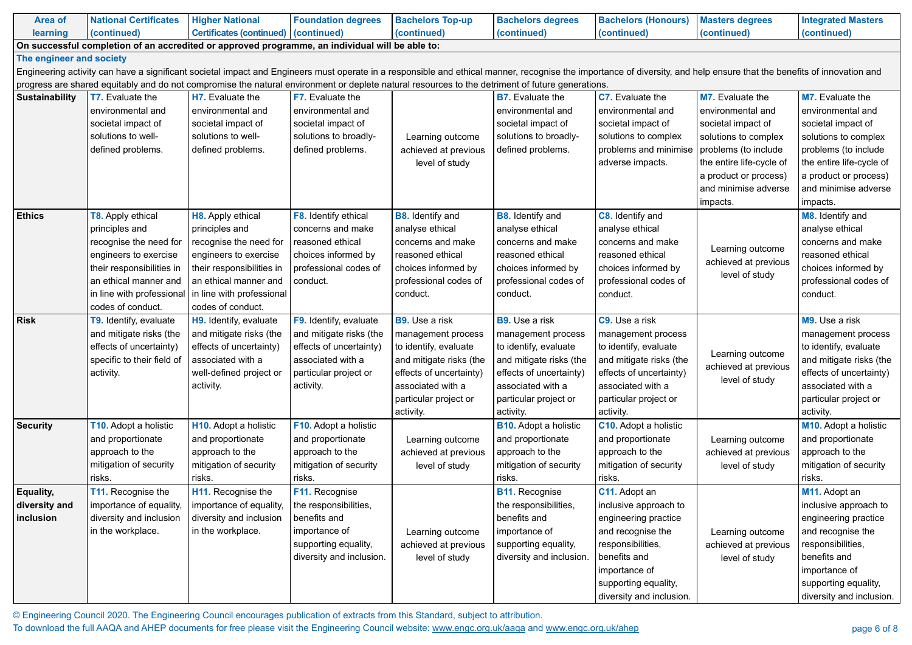© Engineering Council 2020. The Engineering Council encourages publication of extracts from this Standard, subject to attribution. To download the full AAQA and AHEP documents for free please visit the Engineering Council website: www.engc.org.uk/aaqa and www.engc.org.uk/ahep

#### d help ensure that the benefits of innovation and

| <b>Area of</b>                                                                                  | <b>National Certificates</b>                   | <b>Higher National</b>                         | <b>Foundation degrees</b>     | <b>Bachelors Top-up</b>                     | <b>Bachelors degrees</b>                                                                                                                                                 | <b>Bachelors (Honours)</b> |  |  |  |  |  |  |
|-------------------------------------------------------------------------------------------------|------------------------------------------------|------------------------------------------------|-------------------------------|---------------------------------------------|--------------------------------------------------------------------------------------------------------------------------------------------------------------------------|----------------------------|--|--|--|--|--|--|
| learning                                                                                        | (continued)                                    | Certificates (continued)   (continued)         |                               | (continued)                                 | (continued)                                                                                                                                                              | (continued)                |  |  |  |  |  |  |
| On successful completion of an accredited or approved programme, an individual will be able to: |                                                |                                                |                               |                                             |                                                                                                                                                                          |                            |  |  |  |  |  |  |
| The engineer and society                                                                        |                                                |                                                |                               |                                             |                                                                                                                                                                          |                            |  |  |  |  |  |  |
|                                                                                                 |                                                |                                                |                               |                                             | Engineering activity can have a significant societal impact and Engineers must operate in a responsible and ethical manner, recognise the importance of diversity, and I |                            |  |  |  |  |  |  |
|                                                                                                 |                                                |                                                |                               |                                             | progress are shared equitably and do not compromise the natural environment or deplete natural resources to the detriment of future generations.                         |                            |  |  |  |  |  |  |
| <b>Sustainability</b>                                                                           | <b>T7.</b> Evaluate the                        | H7. Evaluate the                               | <b>F7.</b> Evaluate the       |                                             | <b>B7.</b> Evaluate the                                                                                                                                                  | <b>C7.</b> Evaluate the    |  |  |  |  |  |  |
|                                                                                                 | environmental and                              | environmental and                              | environmental and             |                                             | environmental and                                                                                                                                                        | environmental and          |  |  |  |  |  |  |
|                                                                                                 | societal impact of                             | societal impact of                             | societal impact of            |                                             | societal impact of                                                                                                                                                       | societal impact of         |  |  |  |  |  |  |
|                                                                                                 | solutions to well-                             | solutions to well-                             | solutions to broadly-         | Learning outcome                            | solutions to broadly-                                                                                                                                                    | solutions to complex       |  |  |  |  |  |  |
|                                                                                                 | defined problems.                              | defined problems.                              | defined problems.             | achieved at previous                        | defined problems.                                                                                                                                                        | problems and minimise      |  |  |  |  |  |  |
|                                                                                                 |                                                |                                                |                               | level of study                              |                                                                                                                                                                          | adverse impacts.           |  |  |  |  |  |  |
|                                                                                                 |                                                |                                                |                               |                                             |                                                                                                                                                                          |                            |  |  |  |  |  |  |
|                                                                                                 |                                                |                                                |                               |                                             |                                                                                                                                                                          |                            |  |  |  |  |  |  |
|                                                                                                 |                                                |                                                |                               |                                             |                                                                                                                                                                          |                            |  |  |  |  |  |  |
| <b>Ethics</b>                                                                                   | <b>T8.</b> Apply ethical                       | H8. Apply ethical                              | F8. Identify ethical          | <b>B8.</b> Identify and                     | <b>B8.</b> Identify and                                                                                                                                                  | <b>C8.</b> Identify and    |  |  |  |  |  |  |
|                                                                                                 | principles and                                 | principles and                                 | concerns and make             | analyse ethical                             | analyse ethical                                                                                                                                                          | analyse ethical            |  |  |  |  |  |  |
|                                                                                                 | recognise the need for                         | recognise the need for                         | reasoned ethical              | concerns and make                           | concerns and make                                                                                                                                                        | concerns and make          |  |  |  |  |  |  |
|                                                                                                 | engineers to exercise                          | engineers to exercise                          | choices informed by           | reasoned ethical                            | reasoned ethical                                                                                                                                                         | reasoned ethical           |  |  |  |  |  |  |
|                                                                                                 | their responsibilities in                      | their responsibilities in                      | professional codes of         | choices informed by                         | choices informed by                                                                                                                                                      | choices informed by        |  |  |  |  |  |  |
|                                                                                                 | an ethical manner and                          | an ethical manner and                          | conduct.                      | professional codes of                       | professional codes of                                                                                                                                                    | professional codes of      |  |  |  |  |  |  |
|                                                                                                 | in line with professional<br>codes of conduct. | in line with professional<br>codes of conduct. |                               | conduct.                                    | conduct.                                                                                                                                                                 | conduct.                   |  |  |  |  |  |  |
| <b>Risk</b>                                                                                     | T9. Identify, evaluate                         | H9. Identify, evaluate                         | <b>F9.</b> Identify, evaluate | <b>B9.</b> Use a risk                       | <b>B9.</b> Use a risk                                                                                                                                                    | <b>C9.</b> Use a risk      |  |  |  |  |  |  |
|                                                                                                 | and mitigate risks (the                        | and mitigate risks (the                        | and mitigate risks (the       |                                             |                                                                                                                                                                          | management process         |  |  |  |  |  |  |
|                                                                                                 | effects of uncertainty)                        | effects of uncertainty)                        | effects of uncertainty)       | management process<br>to identify, evaluate | management process<br>to identify, evaluate                                                                                                                              | to identify, evaluate      |  |  |  |  |  |  |
|                                                                                                 | specific to their field of                     | associated with a                              | associated with a             | and mitigate risks (the                     | and mitigate risks (the                                                                                                                                                  | and mitigate risks (the    |  |  |  |  |  |  |
|                                                                                                 | activity.                                      | well-defined project or                        | particular project or         | effects of uncertainty)                     | effects of uncertainty)                                                                                                                                                  | effects of uncertainty)    |  |  |  |  |  |  |
|                                                                                                 |                                                | activity.                                      | activity.                     | associated with a                           | associated with a                                                                                                                                                        | associated with a          |  |  |  |  |  |  |
|                                                                                                 |                                                |                                                |                               | particular project or                       | particular project or                                                                                                                                                    | particular project or      |  |  |  |  |  |  |
|                                                                                                 |                                                |                                                |                               | activity.                                   | activity.                                                                                                                                                                | activity.                  |  |  |  |  |  |  |
| <b>Security</b>                                                                                 | T10. Adopt a holistic                          | H <sub>10</sub> . Adopt a holistic             | F10. Adopt a holistic         |                                             | <b>B10.</b> Adopt a holistic                                                                                                                                             | C10. Adopt a holistic      |  |  |  |  |  |  |
|                                                                                                 | and proportionate                              | and proportionate                              | and proportionate             | Learning outcome                            | and proportionate                                                                                                                                                        | and proportionate          |  |  |  |  |  |  |
|                                                                                                 | approach to the                                | approach to the                                | approach to the               | achieved at previous                        | approach to the                                                                                                                                                          | approach to the            |  |  |  |  |  |  |
|                                                                                                 | mitigation of security                         | mitigation of security                         | mitigation of security        | level of study                              | mitigation of security                                                                                                                                                   | mitigation of security     |  |  |  |  |  |  |
|                                                                                                 | risks.                                         | risks.                                         | risks.                        |                                             | risks.                                                                                                                                                                   | risks.                     |  |  |  |  |  |  |
| Equality,                                                                                       | T11. Recognise the                             | H11. Recognise the                             | F11. Recognise                |                                             | <b>B11. Recognise</b>                                                                                                                                                    | C11. Adopt an              |  |  |  |  |  |  |
| diversity and                                                                                   | importance of equality,                        | importance of equality,                        | the responsibilities,         |                                             | the responsibilities,                                                                                                                                                    | inclusive approach to      |  |  |  |  |  |  |
| inclusion                                                                                       | diversity and inclusion                        | diversity and inclusion                        | benefits and                  |                                             | benefits and                                                                                                                                                             | engineering practice       |  |  |  |  |  |  |
|                                                                                                 | in the workplace.                              | in the workplace.                              | importance of                 | Learning outcome                            | importance of                                                                                                                                                            | and recognise the          |  |  |  |  |  |  |
|                                                                                                 |                                                |                                                | supporting equality,          | achieved at previous                        | supporting equality,                                                                                                                                                     | responsibilities,          |  |  |  |  |  |  |
|                                                                                                 |                                                |                                                | diversity and inclusion.      | level of study                              | diversity and inclusion.                                                                                                                                                 | benefits and               |  |  |  |  |  |  |
|                                                                                                 |                                                |                                                |                               |                                             |                                                                                                                                                                          | importance of              |  |  |  |  |  |  |
|                                                                                                 |                                                |                                                |                               |                                             |                                                                                                                                                                          | supporting equality,       |  |  |  |  |  |  |
|                                                                                                 |                                                |                                                |                               |                                             |                                                                                                                                                                          | diversity and inclusion.   |  |  |  |  |  |  |

|   | <b>M7.</b> Evaluate the  | <b>M7.</b> Evaluate the      |
|---|--------------------------|------------------------------|
|   | environmental and        | environmental and            |
|   | societal impact of       | societal impact of           |
|   | solutions to complex     | solutions to complex         |
| e | problems (to include     | problems (to include         |
|   | the entire life-cycle of | the entire life-cycle of     |
|   | a product or process)    | a product or process)        |
|   | and minimise adverse     | and minimise adverse         |
|   | impacts.                 | impacts.                     |
|   |                          | M8. Identify and             |
|   |                          | analyse ethical              |
|   |                          | concerns and make            |
|   | Learning outcome         | reasoned ethical             |
|   | achieved at previous     | choices informed by          |
|   | level of study           | professional codes of        |
|   |                          | conduct.                     |
|   |                          |                              |
|   |                          | M9. Use a risk               |
|   |                          | management process           |
|   |                          | to identify, evaluate        |
|   | Learning outcome         | and mitigate risks (the      |
|   | achieved at previous     | effects of uncertainty)      |
|   | level of study           | associated with a            |
|   |                          | particular project or        |
|   |                          | activity.                    |
|   |                          | <b>M10.</b> Adopt a holistic |
|   | Learning outcome         | and proportionate            |
|   | achieved at previous     | approach to the              |
|   | level of study           | mitigation of security       |
|   |                          | risks.                       |
|   |                          | M11. Adopt an                |
|   |                          | inclusive approach to        |
|   |                          | engineering practice         |
|   | Learning outcome         | and recognise the            |
|   | achieved at previous     | responsibilities,            |
|   | level of study           | benefits and                 |
|   |                          | importance of                |
|   |                          | supporting equality,         |
|   |                          | diversity and inclusion.     |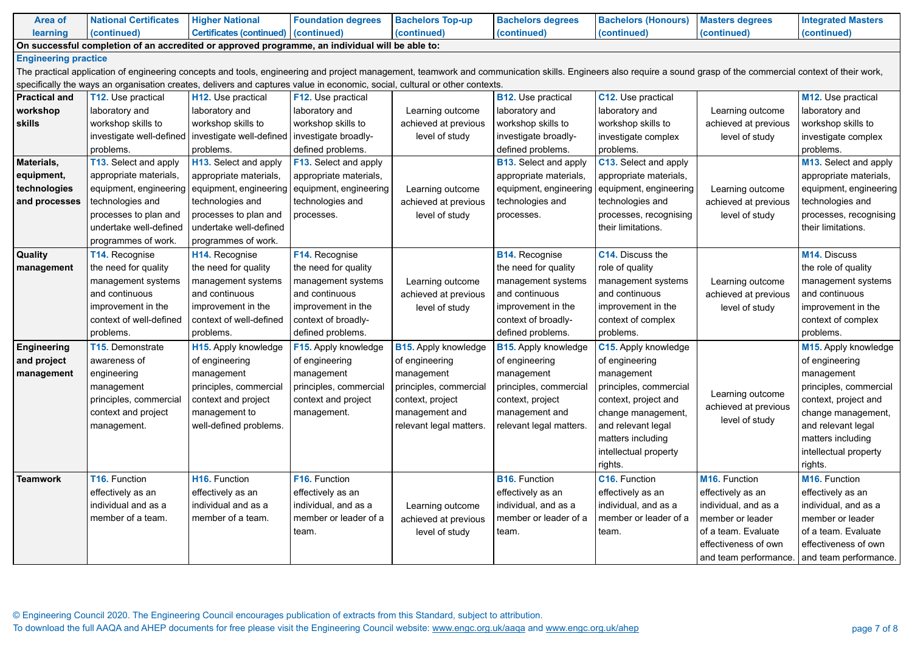© Engineering Council 2020. The Engineering Council encourages publication of extracts from this Standard, subject to attribution. To download the full AAQA and AHEP documents for free please visit the Engineering Council website: www.engc.org.uk/aaqa and www.engc.org.uk/ahep

| <b>Area of</b>                                                                                                                                                                                                    | <b>National Certificates</b> | <b>Higher National</b>                 | <b>Foundation degrees</b> | <b>Bachelors Top-up</b>     | <b>Bachelors degrees</b>     | <b>Bachelors (Honours)</b> | <b>Masters degrees</b>     | <b>Integrated Masters</b>   |  |  |  |
|-------------------------------------------------------------------------------------------------------------------------------------------------------------------------------------------------------------------|------------------------------|----------------------------------------|---------------------------|-----------------------------|------------------------------|----------------------------|----------------------------|-----------------------------|--|--|--|
| learning                                                                                                                                                                                                          | (continued)                  | Certificates (continued)   (continued) |                           | (continued)                 | (continued)                  | (continued)                | (continued)                | (continued)                 |  |  |  |
| On successful completion of an accredited or approved programme, an individual will be able to:                                                                                                                   |                              |                                        |                           |                             |                              |                            |                            |                             |  |  |  |
| <b>Engineering practice</b>                                                                                                                                                                                       |                              |                                        |                           |                             |                              |                            |                            |                             |  |  |  |
| The practical application of engineering concepts and tools, engineering and project management, teamwork and communication skills. Engineers also require a sound grasp of the commercial context of their work, |                              |                                        |                           |                             |                              |                            |                            |                             |  |  |  |
| specifically the ways an organisation creates, delivers and captures value in economic, social, cultural or other contexts.                                                                                       |                              |                                        |                           |                             |                              |                            |                            |                             |  |  |  |
| <b>Practical and</b>                                                                                                                                                                                              | <b>T12.</b> Use practical    | <b>H12.</b> Use practical              | F12. Use practical        |                             | <b>B12.</b> Use practical    | C12. Use practical         |                            | M12. Use practical          |  |  |  |
| workshop                                                                                                                                                                                                          | laboratory and               | laboratory and                         | laboratory and            | Learning outcome            | laboratory and               | laboratory and             | Learning outcome           | laboratory and              |  |  |  |
| <b>skills</b>                                                                                                                                                                                                     | workshop skills to           | workshop skills to                     | workshop skills to        | achieved at previous        | workshop skills to           | workshop skills to         | achieved at previous       | workshop skills to          |  |  |  |
|                                                                                                                                                                                                                   | investigate well-defined     | investigate well-defined               | investigate broadly-      | level of study              | investigate broadly-         | investigate complex        | level of study             | investigate complex         |  |  |  |
|                                                                                                                                                                                                                   | problems.                    | problems.                              | defined problems.         |                             | defined problems.            | problems.                  |                            | problems.                   |  |  |  |
| Materials,                                                                                                                                                                                                        | <b>T13. Select and apply</b> | H13. Select and apply                  | F13. Select and apply     |                             | <b>B13.</b> Select and apply | C13. Select and apply      |                            | M13. Select and apply       |  |  |  |
| equipment,                                                                                                                                                                                                        | appropriate materials,       | appropriate materials,                 | appropriate materials,    |                             | appropriate materials,       | appropriate materials,     |                            | appropriate materials,      |  |  |  |
| technologies                                                                                                                                                                                                      | equipment, engineering       | equipment, engineering                 | equipment, engineering    | Learning outcome            | equipment, engineering       | equipment, engineering     | Learning outcome           | equipment, engineering      |  |  |  |
| and processes                                                                                                                                                                                                     | technologies and             | technologies and                       | technologies and          | achieved at previous        | technologies and             | technologies and           | achieved at previous       | technologies and            |  |  |  |
|                                                                                                                                                                                                                   | processes to plan and        | processes to plan and                  | processes.                | level of study              | processes.                   | processes, recognising     | level of study             | processes, recognising      |  |  |  |
|                                                                                                                                                                                                                   | undertake well-defined       | undertake well-defined                 |                           |                             |                              | their limitations.         |                            | their limitations.          |  |  |  |
|                                                                                                                                                                                                                   | programmes of work.          | programmes of work.                    |                           |                             |                              |                            |                            |                             |  |  |  |
| Quality                                                                                                                                                                                                           | <b>T14. Recognise</b>        | H14. Recognise                         | F14. Recognise            |                             | <b>B14. Recognise</b>        | <b>C14.</b> Discuss the    |                            | M14. Discuss                |  |  |  |
| management                                                                                                                                                                                                        | the need for quality         | the need for quality                   | the need for quality      |                             | the need for quality         | role of quality            |                            | the role of quality         |  |  |  |
|                                                                                                                                                                                                                   | management systems           | management systems                     | management systems        | Learning outcome            | management systems           | management systems         | Learning outcome           | management systems          |  |  |  |
|                                                                                                                                                                                                                   | and continuous               | and continuous                         | and continuous            | achieved at previous        | and continuous               | and continuous             | achieved at previous       | and continuous              |  |  |  |
|                                                                                                                                                                                                                   | improvement in the           | improvement in the                     | improvement in the        | level of study              | improvement in the           | improvement in the         | level of study             | improvement in the          |  |  |  |
|                                                                                                                                                                                                                   | context of well-defined      | context of well-defined                | context of broadly-       |                             | context of broadly-          | context of complex         |                            | context of complex          |  |  |  |
|                                                                                                                                                                                                                   | problems.                    | problems.                              | defined problems.         |                             | defined problems.            | problems.                  |                            | problems.                   |  |  |  |
| <b>Engineering</b>                                                                                                                                                                                                | <b>T15. Demonstrate</b>      | H15. Apply knowledge                   | F15. Apply knowledge      | <b>B15.</b> Apply knowledge | <b>B15. Apply knowledge</b>  | C15. Apply knowledge       |                            | <b>M15. Apply knowledge</b> |  |  |  |
| and project                                                                                                                                                                                                       | awareness of                 | of engineering                         | of engineering            | of engineering              | of engineering               | of engineering             |                            | of engineering              |  |  |  |
| management                                                                                                                                                                                                        | engineering                  | management                             | management                | management                  | management                   | management                 |                            | management                  |  |  |  |
|                                                                                                                                                                                                                   | management                   | principles, commercial                 | principles, commercial    | principles, commercial      | principles, commercial       | principles, commercial     |                            | principles, commercial      |  |  |  |
|                                                                                                                                                                                                                   | principles, commercial       | context and project                    | context and project       | context, project            | context, project             | context, project and       | Learning outcome           | context, project and        |  |  |  |
|                                                                                                                                                                                                                   | context and project          | management to                          | management.               | management and              | management and               | change management,         | achieved at previous       | change management,          |  |  |  |
|                                                                                                                                                                                                                   | management.                  | well-defined problems.                 |                           | relevant legal matters.     | relevant legal matters.      | and relevant legal         | level of study             | and relevant legal          |  |  |  |
|                                                                                                                                                                                                                   |                              |                                        |                           |                             |                              | matters including          |                            | matters including           |  |  |  |
|                                                                                                                                                                                                                   |                              |                                        |                           |                             |                              | intellectual property      |                            | intellectual property       |  |  |  |
|                                                                                                                                                                                                                   |                              |                                        |                           |                             |                              | rights.                    |                            | rights.                     |  |  |  |
| <b>Teamwork</b>                                                                                                                                                                                                   | T16. Function                | H <sub>16</sub> . Function             | F16. Function             |                             | <b>B16. Function</b>         | <b>C16. Function</b>       | M <sub>16</sub> . Function | M16. Function               |  |  |  |
|                                                                                                                                                                                                                   | effectively as an            | effectively as an                      | effectively as an         |                             | effectively as an            | effectively as an          | effectively as an          | effectively as an           |  |  |  |
|                                                                                                                                                                                                                   | individual and as a          | individual and as a                    | individual, and as a      | Learning outcome            | individual, and as a         | individual, and as a       | individual, and as a       | individual, and as a        |  |  |  |
|                                                                                                                                                                                                                   | member of a team.            | member of a team.                      | member or leader of a     | achieved at previous        | member or leader of a        | member or leader of a      | member or leader           | member or leader            |  |  |  |
|                                                                                                                                                                                                                   |                              |                                        | team.                     | level of study              | team.                        | team.                      | of a team. Evaluate        | of a team. Evaluate         |  |  |  |
|                                                                                                                                                                                                                   |                              |                                        |                           |                             |                              |                            | effectiveness of own       | effectiveness of own        |  |  |  |
|                                                                                                                                                                                                                   |                              |                                        |                           |                             |                              |                            | and team performance.      | and team performance.       |  |  |  |